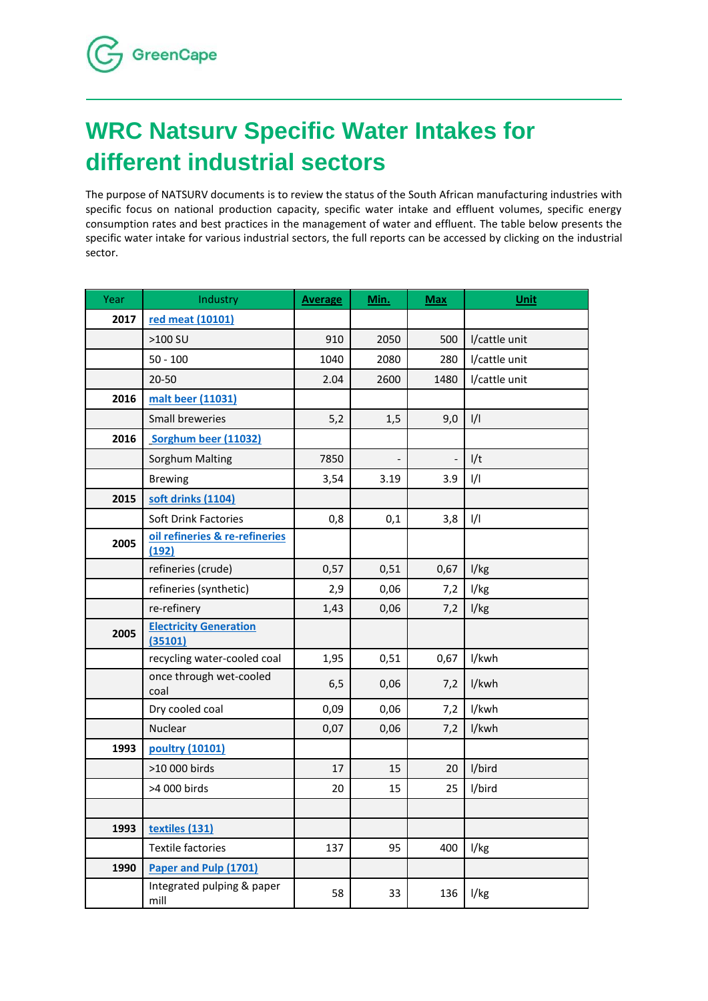## **WRC Natsurv Specific Water Intakes for different industrial sectors**

The purpose of NATSURV documents is to review the status of the South African manufacturing industries with specific focus on national production capacity, specific water intake and effluent volumes, specific energy consumption rates and best practices in the management of water and effluent. The table below presents the specific water intake for various industrial sectors, the full reports can be accessed by clicking on the industrial sector.

| Year | Industry                                 | <b>Average</b> | Min. | <b>Max</b>        | Unit          |
|------|------------------------------------------|----------------|------|-------------------|---------------|
| 2017 | red meat (10101)                         |                |      |                   |               |
|      | >100 SU                                  | 910            | 2050 | 500               | I/cattle unit |
|      | $50 - 100$                               | 1040           | 2080 | 280               | I/cattle unit |
|      | $20 - 50$                                | 2.04           | 2600 | 1480              | I/cattle unit |
| 2016 | malt beer (11031)                        |                |      |                   |               |
|      | Small breweries                          | 5,2            | 1,5  | 9,0               | 1/1           |
| 2016 | Sorghum beer (11032)                     |                |      |                   |               |
|      | Sorghum Malting                          | 7850           |      | $\qquad \qquad -$ | I/t           |
|      | <b>Brewing</b>                           | 3,54           | 3.19 | 3.9               | $\frac{1}{1}$ |
| 2015 | soft drinks (1104)                       |                |      |                   |               |
|      | Soft Drink Factories                     | 0,8            | 0,1  | 3,8               | $\frac{1}{1}$ |
| 2005 | oil refineries & re-refineries<br>(192)  |                |      |                   |               |
|      | refineries (crude)                       | 0,57           | 0,51 | 0,67              | I/kg          |
|      | refineries (synthetic)                   | 2,9            | 0,06 | 7,2               | I/kg          |
|      | re-refinery                              | 1,43           | 0,06 | 7,2               | I/kg          |
| 2005 | <b>Electricity Generation</b><br>(35101) |                |      |                   |               |
|      | recycling water-cooled coal              | 1,95           | 0,51 | 0,67              | I/kwh         |
|      | once through wet-cooled<br>coal          | 6, 5           | 0,06 | 7,2               | I/kwh         |
|      | Dry cooled coal                          | 0,09           | 0,06 | 7,2               | l/kwh         |
|      | Nuclear                                  | 0,07           | 0,06 | 7,2               | I/kwh         |
| 1993 | poultry (10101)                          |                |      |                   |               |
|      | >10 000 birds                            | 17             | 15   | 20                | I/bird        |
|      | >4 000 birds                             | 20             | 15   | 25                | l/bird        |
|      |                                          |                |      |                   |               |
| 1993 | textiles (131)                           |                |      |                   |               |
|      | <b>Textile factories</b>                 | 137            | 95   | 400               | I/kg          |
| 1990 | Paper and Pulp (1701)                    |                |      |                   |               |
|      | Integrated pulping & paper<br>mill       | 58             | 33   | 136               | I/kg          |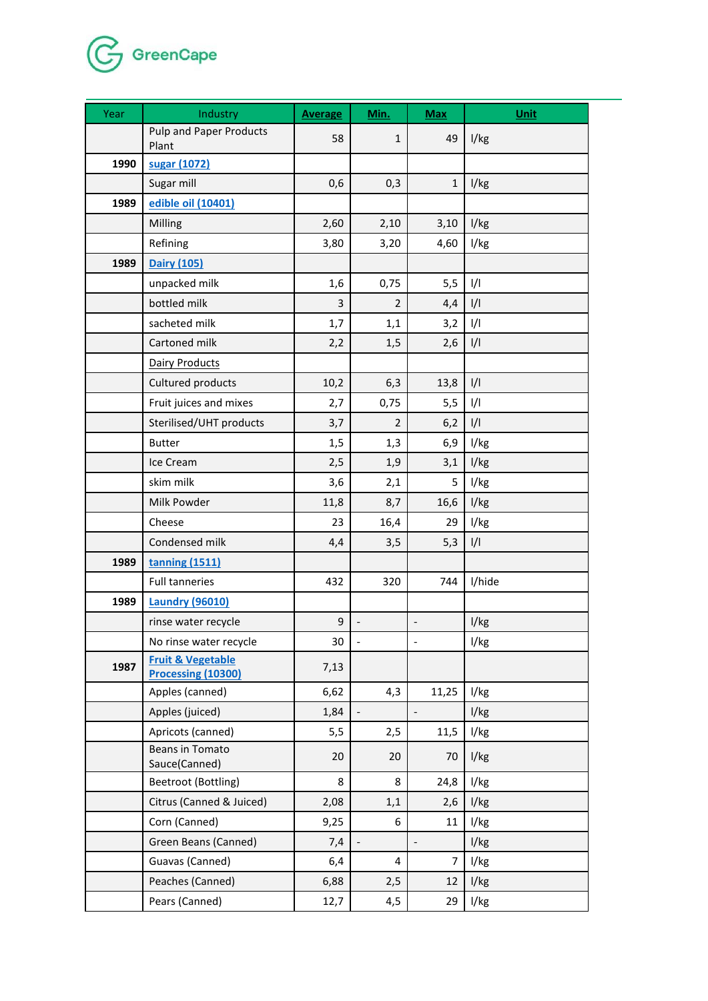

| Year | Industry                                           | <b>Average</b> | Min.              | <b>Max</b>               | <b>Unit</b>   |
|------|----------------------------------------------------|----------------|-------------------|--------------------------|---------------|
|      | <b>Pulp and Paper Products</b><br>Plant            | 58             | $\mathbf{1}$      | 49                       | I/kg          |
| 1990 | sugar (1072)                                       |                |                   |                          |               |
|      | Sugar mill                                         | 0,6            | 0,3               | $\mathbf{1}$             | I/kg          |
| 1989 | edible oil (10401)                                 |                |                   |                          |               |
|      | Milling                                            | 2,60           | 2,10              | 3,10                     | I/kg          |
|      | Refining                                           | 3,80           | 3,20              | 4,60                     | l/kg          |
| 1989 | <b>Dairy (105)</b>                                 |                |                   |                          |               |
|      | unpacked milk                                      | 1,6            | 0,75              | 5,5                      | $\frac{1}{1}$ |
|      | bottled milk                                       | 3              | $\overline{2}$    | 4,4                      | $\frac{1}{1}$ |
|      | sacheted milk                                      | 1,7            | 1,1               | 3,2                      | $\frac{1}{1}$ |
|      | Cartoned milk                                      | 2,2            | 1,5               | 2,6                      | 1/1           |
|      | <b>Dairy Products</b>                              |                |                   |                          |               |
|      | Cultured products                                  | 10,2           | 6,3               | 13,8                     | 1/1           |
|      | Fruit juices and mixes                             | 2,7            | 0,75              | 5,5                      | $\frac{1}{1}$ |
|      | Sterilised/UHT products                            | 3,7            | $\overline{2}$    | 6,2                      | 1/1           |
|      | <b>Butter</b>                                      | 1,5            | 1,3               | 6,9                      | l/kg          |
|      | Ice Cream                                          | 2,5            | 1,9               | 3,1                      | I/kg          |
|      | skim milk                                          | 3,6            | 2,1               | 5                        | I/kg          |
|      | Milk Powder                                        | 11,8           | 8,7               | 16,6                     | I/kg          |
|      | Cheese                                             | 23             | 16,4              | 29                       | I/kg          |
|      | Condensed milk                                     | 4,4            | 3,5               | 5,3                      | $\frac{1}{1}$ |
| 1989 | tanning (1511)                                     |                |                   |                          |               |
|      | <b>Full tanneries</b>                              | 432            | 320               | 744                      | I/hide        |
| 1989 | <b>Laundry (96010)</b>                             |                |                   |                          |               |
|      | rinse water recycle                                | 9              |                   | $\overline{\phantom{a}}$ | I/kg          |
|      | No rinse water recycle                             | 30             |                   |                          | l/kg          |
| 1987 | <b>Fruit &amp; Vegetable</b><br>Processing (10300) | 7,13           |                   |                          |               |
|      | Apples (canned)                                    | 6,62           | 4,3               | 11,25                    | l/kg          |
|      | Apples (juiced)                                    | 1,84           | $\qquad \qquad -$ | $\overline{\phantom{a}}$ | I/kg          |
|      | Apricots (canned)                                  | 5,5            | 2,5               | 11,5                     | l/kg          |
|      | Beans in Tomato<br>Sauce(Canned)                   | 20             | 20                | 70                       | I/kg          |
|      | Beetroot (Bottling)                                | 8              | 8                 | 24,8                     | I/kg          |
|      | Citrus (Canned & Juiced)                           | 2,08           | 1,1               | 2,6                      | l/kg          |
|      | Corn (Canned)                                      | 9,25           | 6                 | 11                       | I/kg          |
|      | Green Beans (Canned)                               | 7,4            |                   | $\blacksquare$           | l/kg          |
|      | Guavas (Canned)                                    | 6,4            | 4                 | $\overline{7}$           | I/kg          |
|      | Peaches (Canned)                                   | 6,88           | 2,5               | 12                       | l/kg          |
|      | Pears (Canned)                                     | 12,7           | 4,5               | 29                       | l/kg          |